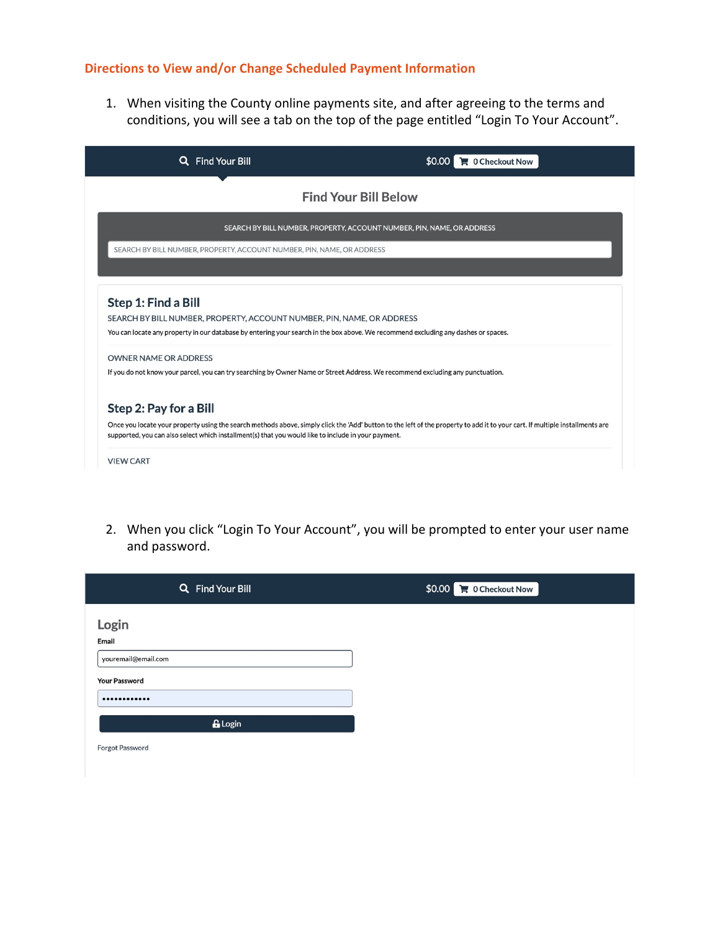# **Directions to View and/or Change Scheduled Payment Information**

1. When visiting the County online payments site, and after agreeing to the terms and conditions, you will see a tab on the top of the page entitled "Login To Your Account".

| <b>Find Your Bill</b><br>Q                                                                                                                                                                                                                                          | $\blacksquare$ 0 Checkout Now                                                                                                                                                |  |  |  |
|---------------------------------------------------------------------------------------------------------------------------------------------------------------------------------------------------------------------------------------------------------------------|------------------------------------------------------------------------------------------------------------------------------------------------------------------------------|--|--|--|
| <b>Find Your Bill Below</b>                                                                                                                                                                                                                                         |                                                                                                                                                                              |  |  |  |
|                                                                                                                                                                                                                                                                     | SEARCH BY BILL NUMBER, PROPERTY, ACCOUNT NUMBER, PIN, NAME, OR ADDRESS                                                                                                       |  |  |  |
| SEARCH BY BILL NUMBER, PROPERTY, ACCOUNT NUMBER, PIN, NAME, OR ADDRESS                                                                                                                                                                                              |                                                                                                                                                                              |  |  |  |
|                                                                                                                                                                                                                                                                     |                                                                                                                                                                              |  |  |  |
| Step 1: Find a Bill<br>SEARCH BY BILL NUMBER, PROPERTY, ACCOUNT NUMBER, PIN, NAME, OR ADDRESS<br>You can locate any property in our database by entering your search in the box above. We recommend excluding any dashes or spaces.<br><b>OWNER NAME OR ADDRESS</b> |                                                                                                                                                                              |  |  |  |
| If you do not know your parcel, you can try searching by Owner Name or Street Address. We recommend excluding any punctuation.                                                                                                                                      |                                                                                                                                                                              |  |  |  |
| Step 2: Pay for a Bill                                                                                                                                                                                                                                              |                                                                                                                                                                              |  |  |  |
| supported, you can also select which installment(s) that you would like to include in your payment.                                                                                                                                                                 | Once you locate your property using the search methods above, simply click the 'Add' button to the left of the property to add it to your cart. If multiple installments are |  |  |  |
| <b>VIEW CART</b>                                                                                                                                                                                                                                                    |                                                                                                                                                                              |  |  |  |

2. When you click "Login To Your Account", you will be prompted to enter your user name and password.

| Q Find Your Bill             | $$0.00$ $\rightarrow$ 0 Checkout Now |
|------------------------------|--------------------------------------|
| Login                        |                                      |
| Email<br>youremail@email.com |                                      |
| <b>Your Password</b><br>     |                                      |
| <b>G</b> Login               |                                      |
| <b>Forgot Password</b>       |                                      |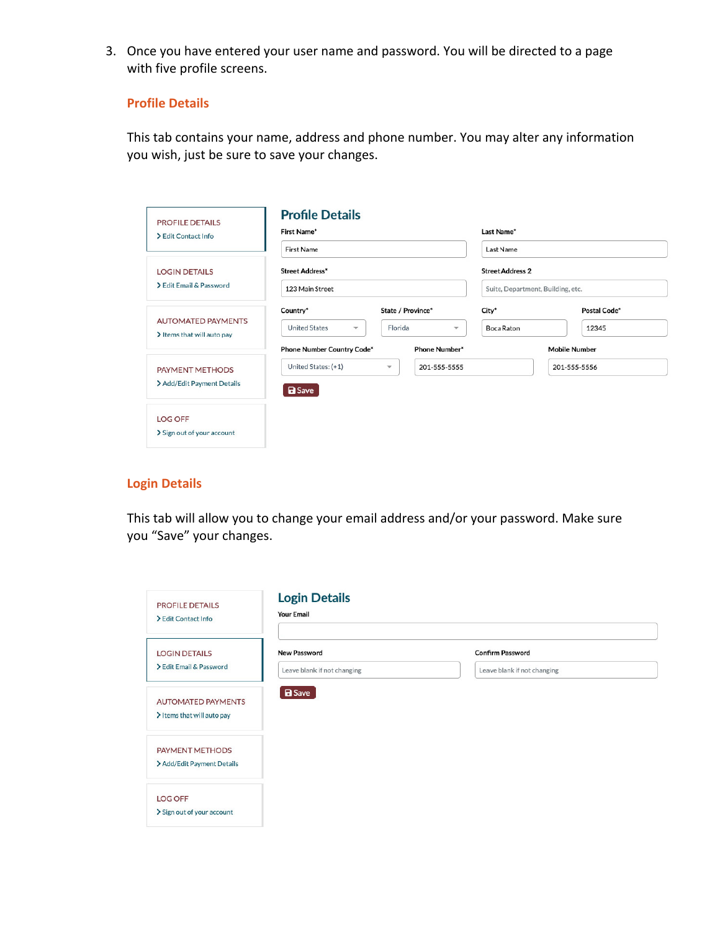3. Once you have entered your user name and password. You will be directed to a page with five profile screens.

## **Profile Details**

This tab contains your name, address and phone number. You may alter any information you wish, just be sure to save your changes.

| <b>PROFILE DETAILS</b><br>> Edit Contact Info           | <b>Profile Details</b><br>First Name*           |                                     | Last Name*<br>Last Name           |                      |  |
|---------------------------------------------------------|-------------------------------------------------|-------------------------------------|-----------------------------------|----------------------|--|
| First Name                                              |                                                 |                                     |                                   |                      |  |
| <b>LOGIN DETAILS</b>                                    | <b>Street Address*</b>                          |                                     | <b>Street Address 2</b>           |                      |  |
| > Edit Email & Password                                 | 123 Main Street                                 |                                     | Suite, Department, Building, etc. |                      |  |
| <b>AUTOMATED PAYMENTS</b><br>> Items that will auto pay | Country*                                        | State / Province*                   | City*                             | Postal Code*         |  |
|                                                         | <b>United States</b><br>$\overline{\mathbf{v}}$ | Florida<br>$\overline{\phantom{a}}$ | Boca Raton                        | 12345                |  |
|                                                         | <b>Phone Number Country Code*</b>               | <b>Phone Number*</b>                |                                   | <b>Mobile Number</b> |  |
| <b>PAYMENT METHODS</b>                                  | United States: (+1)<br>$\overline{\mathbf{v}}$  | 201-555-5555                        |                                   | 201-555-5556         |  |
| > Add/Edit Payment Details                              | <b>a</b> Save                                   |                                     |                                   |                      |  |
| <b>LOG OFF</b>                                          |                                                 |                                     |                                   |                      |  |
| > Sign out of your account                              |                                                 |                                     |                                   |                      |  |

### **Login Details**

This tab will allow you to change your email address and/or your password. Make sure you "Save" your changes.

| <b>PROFILE DETAILS</b><br>> Edit Contact Info           | <b>Login Details</b><br><b>Your Email</b> |                             |
|---------------------------------------------------------|-------------------------------------------|-----------------------------|
| <b>LOGIN DETAILS</b>                                    | <b>New Password</b>                       | <b>Confirm Password</b>     |
| > Edit Email & Password                                 | Leave blank if not changing               | Leave blank if not changing |
| <b>AUTOMATED PAYMENTS</b><br>> Items that will auto pay | <b>B</b> Save                             |                             |
| PAYMENT METHODS<br>> Add/Edit Payment Details           |                                           |                             |
| <b>LOG OFF</b><br>> Sign out of your account            |                                           |                             |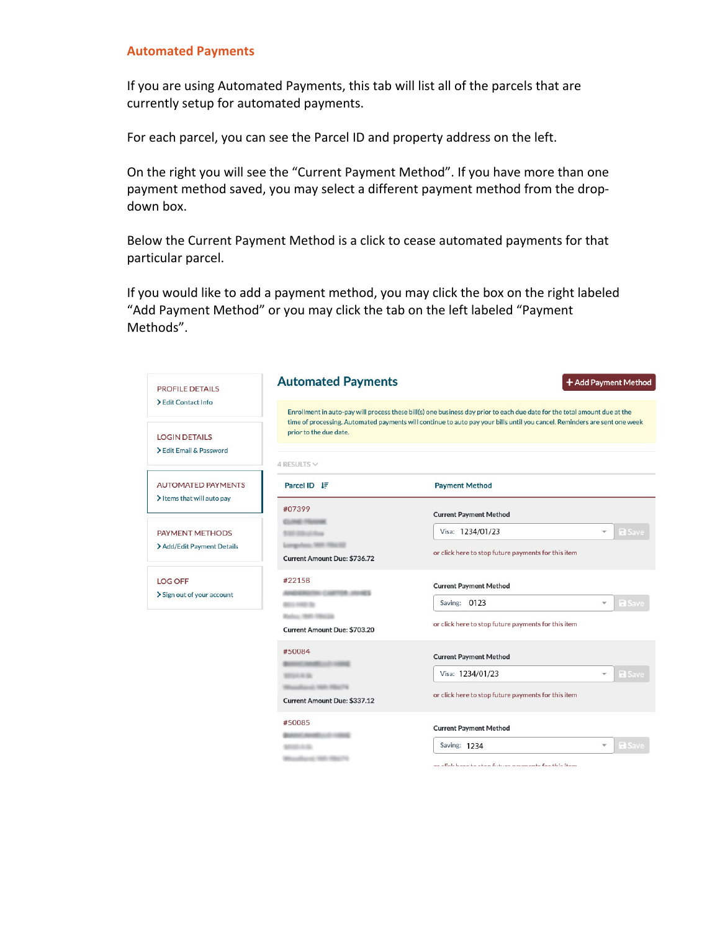#### **Automated Payments**

If you are using Automated Payments, this tab will list all of the parcels that are currently setup for automated payments.

For each parcel, you can see the Parcel ID and property address on the left.

On the right you will see the "Current Payment Method". If you have more than one payment method saved, you may select a different payment method from the dropdown box.

Below the Current Payment Method is a click to cease automated payments for that particular parcel.

If you would like to add a payment method, you may click the box on the right labeled "Add Payment Method" or you may click the tab on the left labeled "Payment Methods".

| <b>PROFILE DETAILS</b>                                  | <b>Automated Payments</b>                                         | + Add Payment Method                                                                                                                                                                                                                                   |  |  |  |
|---------------------------------------------------------|-------------------------------------------------------------------|--------------------------------------------------------------------------------------------------------------------------------------------------------------------------------------------------------------------------------------------------------|--|--|--|
| > Edit Contact Info                                     |                                                                   | Enrollment in auto-pay will process these bill(s) one business day prior to each due date for the total amount due at the<br>time of processing. Automated payments will continue to auto pay your bills until you cancel. Reminders are sent one week |  |  |  |
| <b>LOGIN DETAILS</b><br>Edit Email & Password           | prior to the due date.                                            |                                                                                                                                                                                                                                                        |  |  |  |
| <b>AUTOMATED PAYMENTS</b><br>> Items that will auto pay | 4 RESULTS $\vee$<br>Parcel ID IF                                  | <b>Payment Method</b>                                                                                                                                                                                                                                  |  |  |  |
|                                                         | #07399<br><b>CLINE FRAME</b>                                      | <b>Current Payment Method</b>                                                                                                                                                                                                                          |  |  |  |
| <b>PAYMENT METHODS</b><br>> Add/Edit Payment Details    | <b>DENTRAL</b>                                                    | Visa: 1234/01/23<br><b>a</b> Save<br>$\overline{\mathbf{v}}$                                                                                                                                                                                           |  |  |  |
|                                                         | Longwisse, 1921, 1932 ED<br>Current Amount Due: \$736.72          | or click here to stop future payments for this item                                                                                                                                                                                                    |  |  |  |
| <b>LOG OFF</b>                                          | #22158<br><b>BY CARTOR JAHRS</b>                                  | <b>Current Payment Method</b>                                                                                                                                                                                                                          |  |  |  |
| > Sign out of your account                              | <b>BELL HAR SL</b>                                                | Saving: 0123<br><b>a</b> Save<br>$\mathbf{v}$                                                                                                                                                                                                          |  |  |  |
|                                                         | <b>Marlors</b> , 1960 - 1984 (24)<br>Current Amount Due: \$703.20 | or click here to stop future payments for this item                                                                                                                                                                                                    |  |  |  |
|                                                         | #50084                                                            | <b>Current Payment Method</b>                                                                                                                                                                                                                          |  |  |  |
|                                                         | <b>MISS H.W.</b>                                                  | Visa: 1234/01/23<br><b>a</b> Save<br>$\overline{\mathbf{v}}$                                                                                                                                                                                           |  |  |  |
|                                                         | <b>SALES PRODUCTS</b><br>Current Amount Due: \$337.12             | or click here to stop future payments for this item                                                                                                                                                                                                    |  |  |  |
|                                                         | #50085<br><b>CANADI LIST TA</b>                                   | <b>Current Payment Method</b>                                                                                                                                                                                                                          |  |  |  |
|                                                         | <b>MISSION</b>                                                    | Saving: 1234<br><b>a</b> Save                                                                                                                                                                                                                          |  |  |  |
|                                                         |                                                                   | ay aliab baya ta atan futuwa naumanta fay this itam                                                                                                                                                                                                    |  |  |  |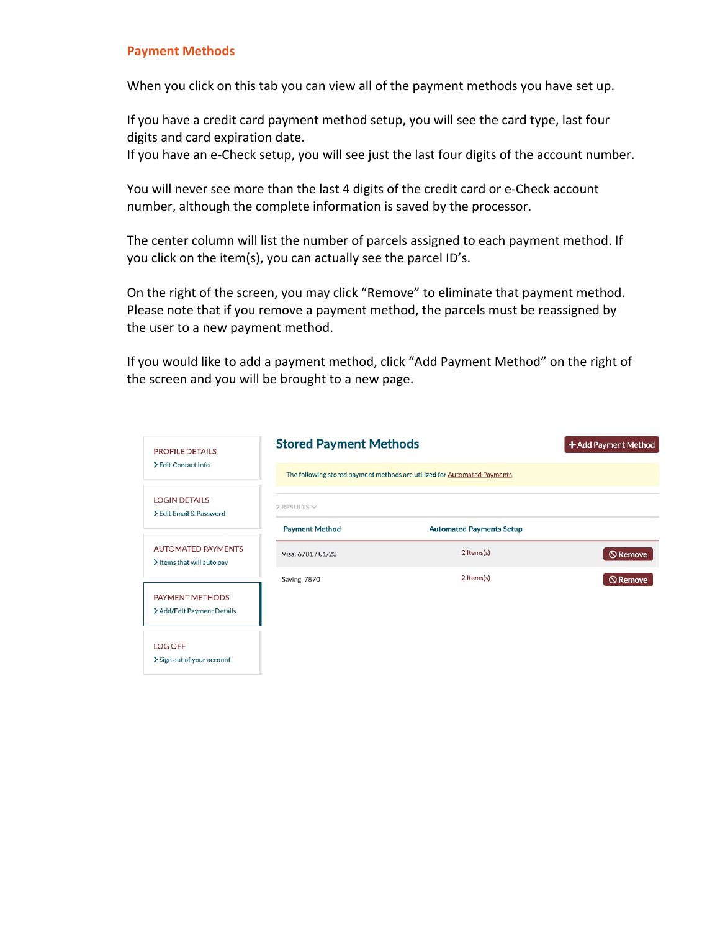#### **Payment Methods**

When you click on this tab you can view all of the payment methods you have set up.

If you have a credit card payment method setup, you will see the card type, last four digits and card expiration date.

If you have an e-Check setup, you will see just the last four digits of the account number.

You will never see more than the last 4 digits of the credit card or e-Check account number, although the complete information is saved by the processor.

The center column will list the number of parcels assigned to each payment method. If you click on the item(s), you can actually see the parcel ID's.

On the right of the screen, you may click "Remove" to eliminate that payment method. Please note that if you remove a payment method, the parcels must be reassigned by the user to a new payment method.

If you would like to add a payment method, click "Add Payment Method" on the right of the screen and you will be brought to a new page.

| <b>PROFILE DETAILS</b>                                  | <b>Stored Payment Methods</b> | + Add Payment Method                                                      |                 |
|---------------------------------------------------------|-------------------------------|---------------------------------------------------------------------------|-----------------|
| > Edit Contact Info                                     |                               | The following stored payment methods are utilized for Automated Payments. |                 |
| <b>LOGIN DETAILS</b><br>> Edit Email & Password         | 2 RESULTS $\vee$              |                                                                           |                 |
|                                                         | <b>Payment Method</b>         | <b>Automated Payments Setup</b>                                           |                 |
| <b>AUTOMATED PAYMENTS</b><br>> Items that will auto pay | Visa: 6781/01/23              | 2 Items(s)                                                                | <b>Q</b> Remove |
|                                                         | <b>Saving: 7870</b>           | 2 Items(s)                                                                | <b>Q</b> Remove |
| PAYMENT METHODS                                         |                               |                                                                           |                 |
| > Add/Edit Payment Details                              |                               |                                                                           |                 |
| <b>LOG OFF</b>                                          |                               |                                                                           |                 |
| > Sign out of your account                              |                               |                                                                           |                 |